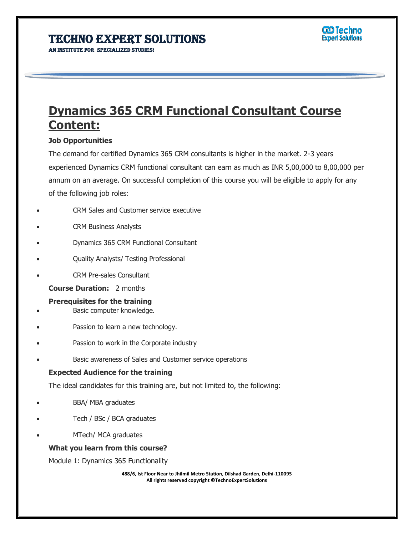AN INSTITUTE FOR SPECIALIZED STUDIES!

# **Dynamics 365 CRM Functional Consultant Course Content:**

Ï

### **Job Opportunities**

The demand for certified Dynamics 365 CRM consultants is higher in the market. 2-3 years experienced Dynamics CRM functional consultant can earn as much as INR 5,00,000 to 8,00,000 per annum on an average. On successful completion of this course you will be eligible to apply for any of the following job roles:

- CRM Sales and Customer service executive
- CRM Business Analysts
- Dynamics 365 CRM Functional Consultant
- Quality Analysts/ Testing Professional
- CRM Pre-sales Consultant
	- **Course Duration:** 2 months
	- **Prerequisites for the training**
- Basic computer knowledge.
- Passion to learn a new technology.
- Passion to work in the Corporate industry
- Basic awareness of Sales and Customer service operations

### **Expected Audience for the training**

The ideal candidates for this training are, but not limited to, the following:

- BBA/ MBA graduates
- Tech / BSc / BCA graduates
- MTech/ MCA graduates

### **What you learn from this course?**

Module 1: Dynamics 365 Functionality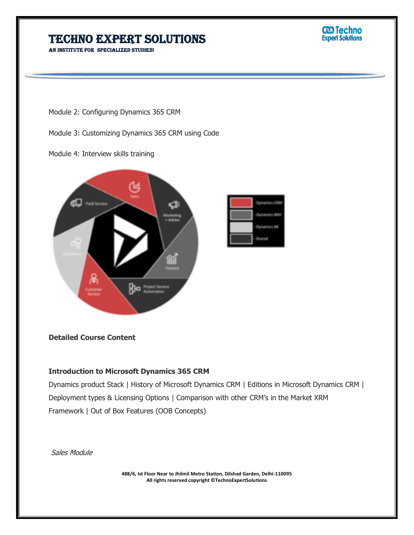AN INSTITUTE FOR SPECIALIZED STUDIES!

**W** Techno<br>Expert Solutions

Module 2: Configuring Dynamics 365 CRM

Module 3: Customizing Dynamics 365 CRM using Code

Module 4: Interview skills training



### **Detailed Course Content**

### **Introduction to Microsoft Dynamics 365 CRM**

Dynamics product Stack | History of Microsoft Dynamics CRM | Editions in Microsoft Dynamics CRM | Deployment types & Licensing Options | Comparison with other CRM's in the Market XRM Framework | Out of Box Features (OOB Concepts)

Ï

Sales Module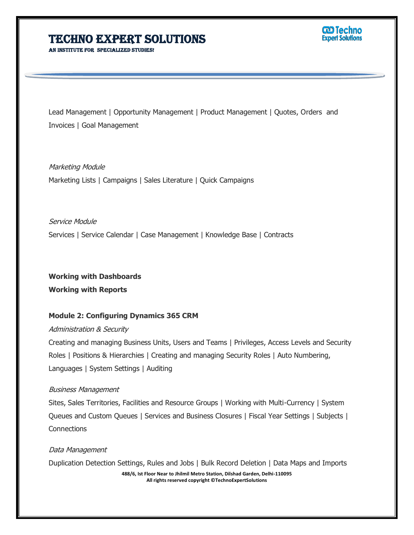AN INSTITUTE FOR SPECIALIZED STUDE



Lead Management | Opportunity Management | Product Management | Quotes, Orders and Invoices | Goal Management

Ï

Marketing Module Marketing Lists | Campaigns | Sales Literature | Quick Campaigns

Service Module Services | Service Calendar | Case Management | Knowledge Base | Contracts

**Working with Dashboards Working with Reports**

### **Module 2: Configuring Dynamics 365 CRM**

#### Administration & Security

Creating and managing Business Units, Users and Teams | Privileges, Access Levels and Security Roles | Positions & Hierarchies | Creating and managing Security Roles | Auto Numbering, Languages | System Settings | Auditing

#### Business Management

Sites, Sales Territories, Facilities and Resource Groups | Working with Multi-Currency | System Queues and Custom Queues | Services and Business Closures | Fiscal Year Settings | Subjects | **Connections** 

### Data Management

Duplication Detection Settings, Rules and Jobs | Bulk Record Deletion | Data Maps and Imports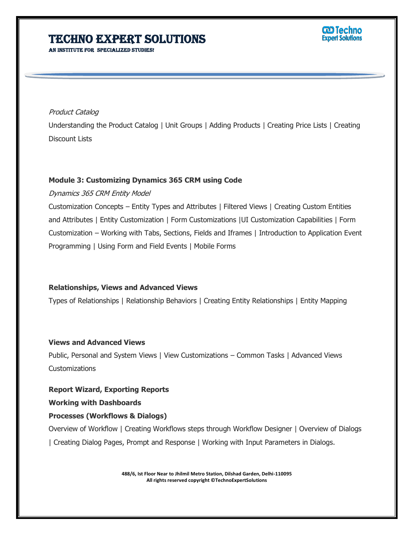AN INSTITUTE FOR SPECIALIZED STUDIES!

### **ට Techno Expert Solutions**

### Product Catalog

Understanding the Product Catalog | Unit Groups | Adding Products | Creating Price Lists | Creating Discount Lists

Ï

### **Module 3: Customizing Dynamics 365 CRM using Code**

### Dynamics 365 CRM Entity Model

Customization Concepts – Entity Types and Attributes | Filtered Views | Creating Custom Entities and Attributes | Entity Customization | Form Customizations |UI Customization Capabilities | Form Customization – Working with Tabs, Sections, Fields and Iframes | Introduction to Application Event Programming | Using Form and Field Events | Mobile Forms

### **Relationships, Views and Advanced Views**

Types of Relationships | Relationship Behaviors | Creating Entity Relationships | Entity Mapping

### **Views and Advanced Views**

Public, Personal and System Views | View Customizations – Common Tasks | Advanced Views Customizations

### **Report Wizard, Exporting Reports**

### **Working with Dashboards**

### **Processes (Workflows & Dialogs)**

Overview of Workflow | Creating Workflows steps through Workflow Designer | Overview of Dialogs | Creating Dialog Pages, Prompt and Response | Working with Input Parameters in Dialogs.